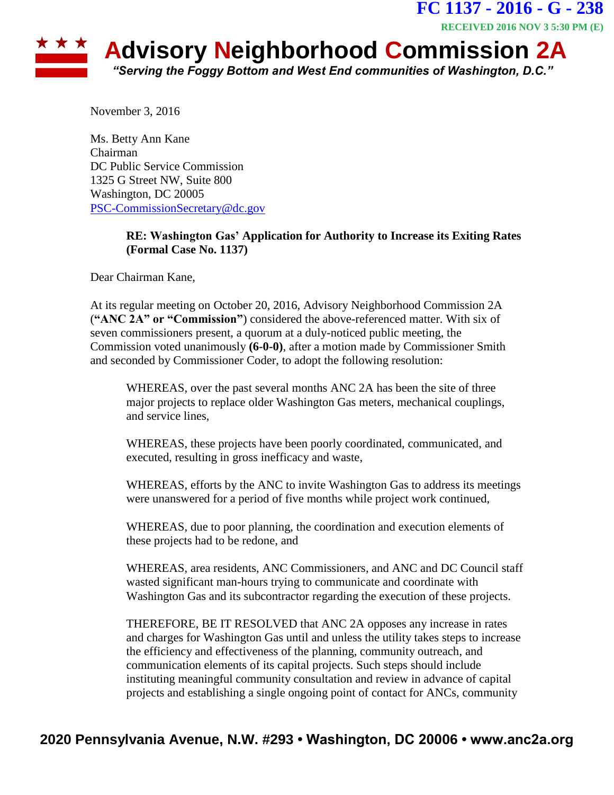## **RECEIVED 2016 NOV 3 5:30 PM (E)**★ ★ ★ **Advisory Neighborhood Commission 2A** *"Serving the Foggy Bottom and West End communities of Washington, D.C."*

**FC 1137 - 2016 - G - 238**

November 3, 2016

Ms. Betty Ann Kane Chairman DC Public Service Commission 1325 G Street NW, Suite 800 Washington, DC 20005 [PSC-CommissionSecretary@dc.gov](mailto:PSC-CommissionSecretary@dc.gov)

## **RE: Washington Gas' Application for Authority to Increase its Exiting Rates (Formal Case No. 1137)**

Dear Chairman Kane,

At its regular meeting on October 20, 2016, Advisory Neighborhood Commission 2A (**"ANC 2A" or "Commission"**) considered the above-referenced matter. With six of seven commissioners present, a quorum at a duly-noticed public meeting, the Commission voted unanimously **(6-0-0)**, after a motion made by Commissioner Smith and seconded by Commissioner Coder, to adopt the following resolution:

WHEREAS, over the past several months ANC 2A has been the site of three major projects to replace older Washington Gas meters, mechanical couplings, and service lines,

WHEREAS, these projects have been poorly coordinated, communicated, and executed, resulting in gross inefficacy and waste,

WHEREAS, efforts by the ANC to invite Washington Gas to address its meetings were unanswered for a period of five months while project work continued,

WHEREAS, due to poor planning, the coordination and execution elements of these projects had to be redone, and

WHEREAS, area residents, ANC Commissioners, and ANC and DC Council staff wasted significant man-hours trying to communicate and coordinate with Washington Gas and its subcontractor regarding the execution of these projects.

THEREFORE, BE IT RESOLVED that ANC 2A opposes any increase in rates and charges for Washington Gas until and unless the utility takes steps to increase the efficiency and effectiveness of the planning, community outreach, and communication elements of its capital projects. Such steps should include instituting meaningful community consultation and review in advance of capital projects and establishing a single ongoing point of contact for ANCs, community